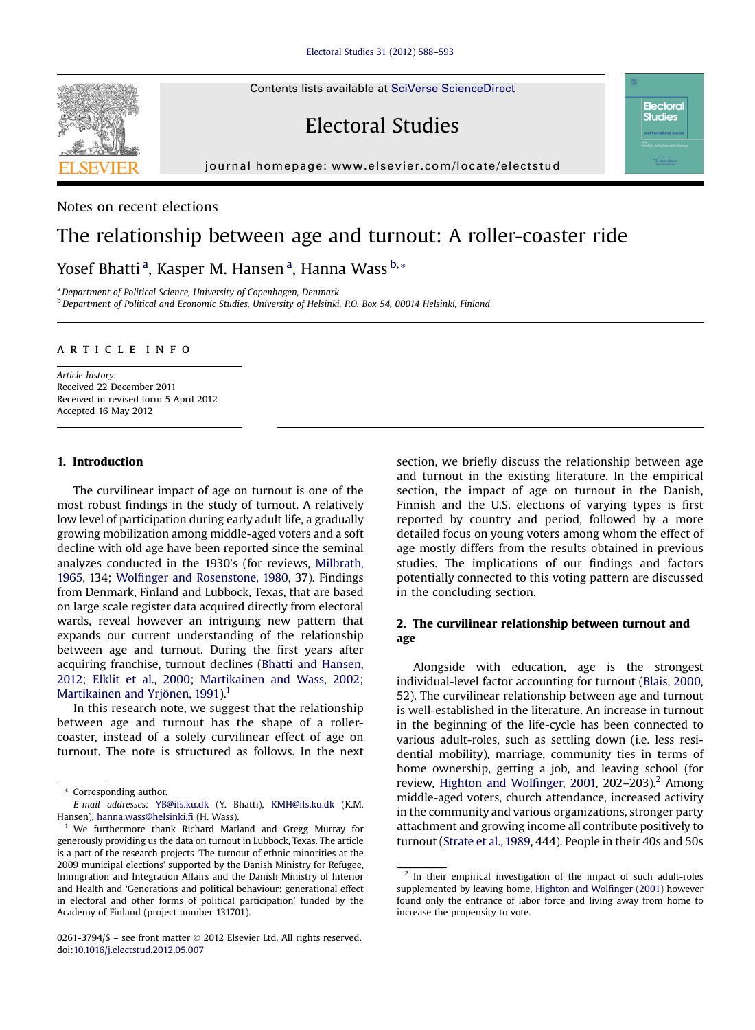Contents lists available at [SciVerse ScienceDirect](www.sciencedirect.com/science/journal/02613794)

# Electoral Studies

journal homepage: [www.elsevier.com/locate/electstud](http://www.elsevier.com/locate/electstud)

Notes on recent elections

## The relationship between age and turnout: A roller-coaster ride

Yosef Bhatti <sup>a</sup>, Kasper M. Hansen <sup>a</sup>, Hanna Wass <sup>b,</sup>\*

<sup>a</sup> Department of Political Science, University of Copenhagen, Denmark

<sup>b</sup> Department of Political and Economic Studies, University of Helsinki, P.O. Box 54, 00014 Helsinki, Finland

## article info

Article history: Received 22 December 2011 Received in revised form 5 April 2012 Accepted 16 May 2012

### 1. Introduction

The curvilinear impact of age on turnout is one of the most robust findings in the study of turnout. A relatively low level of participation during early adult life, a gradually growing mobilization among middle-aged voters and a soft decline with old age have been reported since the seminal analyzes conducted in the 1930's (for reviews, [Milbrath,](#page-5-0) [1965,](#page-5-0) 134; Wolfi[nger and Rosenstone, 1980,](#page-5-0) 37). Findings from Denmark, Finland and Lubbock, Texas, that are based on large scale register data acquired directly from electoral wards, reveal however an intriguing new pattern that expands our current understanding of the relationship between age and turnout. During the first years after acquiring franchise, turnout declines ([Bhatti and Hansen,](#page-4-0) [2012](#page-4-0); [Elklit et al., 2000](#page-4-0); [Martikainen and Wass, 2002](#page-5-0); [Martikainen and Yrjönen, 1991](#page-5-0)).<sup>1</sup>

In this research note, we suggest that the relationship between age and turnout has the shape of a rollercoaster, instead of a solely curvilinear effect of age on turnout. The note is structured as follows. In the next

section, we briefly discuss the relationship between age and turnout in the existing literature. In the empirical section, the impact of age on turnout in the Danish, Finnish and the U.S. elections of varying types is first reported by country and period, followed by a more detailed focus on young voters among whom the effect of age mostly differs from the results obtained in previous studies. The implications of our findings and factors potentially connected to this voting pattern are discussed in the concluding section.

**Electoral Studies** 

## 2. The curvilinear relationship between turnout and age

Alongside with education, age is the strongest individual-level factor accounting for turnout ([Blais, 2000](#page-4-0), 52). The curvilinear relationship between age and turnout is well-established in the literature. An increase in turnout in the beginning of the life-cycle has been connected to various adult-roles, such as settling down (i.e. less residential mobility), marriage, community ties in terms of home ownership, getting a job, and leaving school (for review, [Highton and Wol](#page-5-0)finger, 2001, 202–203).<sup>2</sup> Among middle-aged voters, church attendance, increased activity in the community and various organizations, stronger party attachment and growing income all contribute positively to turnout ([Strate et al., 1989,](#page-5-0) 444). People in their 40s and 50s



<sup>\*</sup> Corresponding author.

E-mail addresses: [YB@ifs.ku.dk](mailto:YB@ifs.ku.dk) (Y. Bhatti), [KMH@ifs.ku.dk](mailto:KMH@ifs.ku.dk) (K.M. Hansen), [hanna.wass@helsinki.](mailto:hanna.wass@helsinki.fi)fi (H. Wass).

<sup>1</sup> We furthermore thank Richard Matland and Gregg Murray for generously providing us the data on turnout in Lubbock, Texas. The article is a part of the research projects 'The turnout of ethnic minorities at the 2009 municipal elections' supported by the Danish Ministry for Refugee, Immigration and Integration Affairs and the Danish Ministry of Interior and Health and 'Generations and political behaviour: generational effect in electoral and other forms of political participation' funded by the Academy of Finland (project number 131701).

<sup>0261-3794/\$ -</sup> see front matter © 2012 Elsevier Ltd. All rights reserved. doi:[10.1016/j.electstud.2012.05.007](http://dx.doi.org/10.1016/j.electstud.2012.05.007)

<sup>&</sup>lt;sup>2</sup> In their empirical investigation of the impact of such adult-roles supplemented by leaving home, [Highton and Wol](#page-5-0)finger (2001) however found only the entrance of labor force and living away from home to increase the propensity to vote.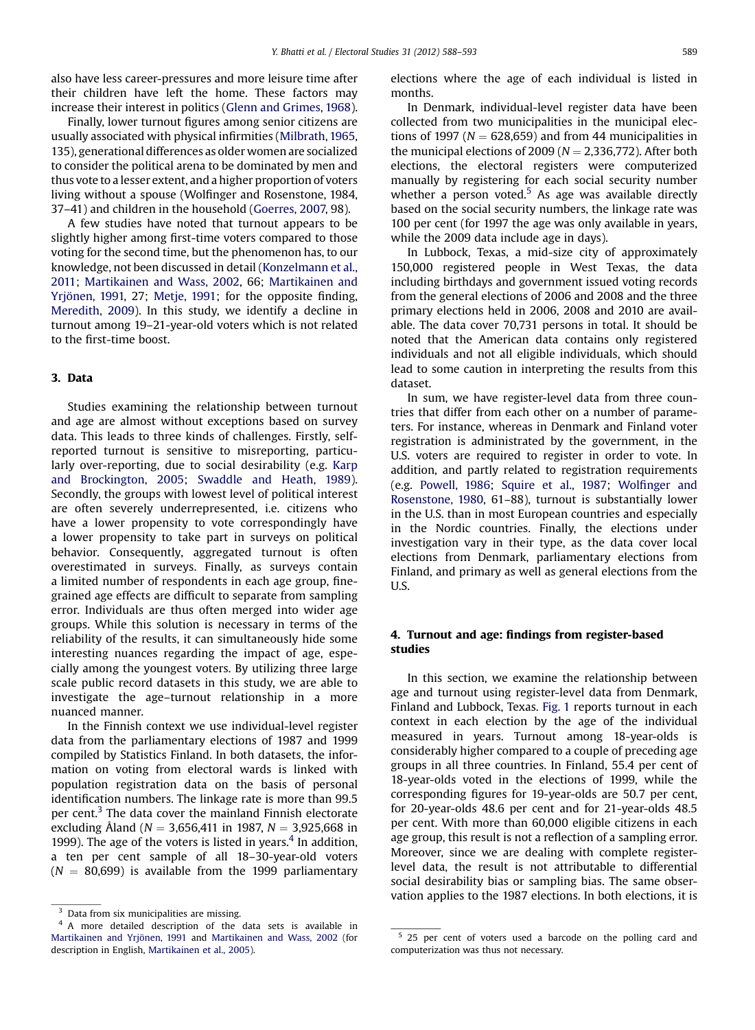also have less career-pressures and more leisure time after their children have left the home. These factors may increase their interest in politics [\(Glenn and Grimes, 1968](#page-5-0)).

Finally, lower turnout figures among senior citizens are usually associated with physical infirmities ([Milbrath, 1965](#page-5-0), 135), generational differences as older women are socialized to consider the political arena to be dominated by men and thus vote to a lesser extent, and a higher proportion of voters living without a spouse (Wolfinger and Rosenstone, 1984, 37–41) and children in the household ([Goerres, 2007,](#page-5-0) 98).

A few studies have noted that turnout appears to be slightly higher among first-time voters compared to those voting for the second time, but the phenomenon has, to our knowledge, not been discussed in detail [\(Konzelmann et al.,](#page-5-0) [2011;](#page-5-0) [Martikainen and Wass, 2002,](#page-5-0) 66; [Martikainen and](#page-5-0) [Yrjönen, 1991,](#page-5-0) 27; [Metje, 1991;](#page-5-0) for the opposite finding, [Meredith, 2009](#page-5-0)). In this study, we identify a decline in turnout among 19–21-year-old voters which is not related to the first-time boost.

## 3. Data

Studies examining the relationship between turnout and age are almost without exceptions based on survey data. This leads to three kinds of challenges. Firstly, selfreported turnout is sensitive to misreporting, particularly over-reporting, due to social desirability (e.g. [Karp](#page-5-0) [and Brockington, 2005;](#page-5-0) [Swaddle and Heath, 1989](#page-5-0)). Secondly, the groups with lowest level of political interest are often severely underrepresented, i.e. citizens who have a lower propensity to vote correspondingly have a lower propensity to take part in surveys on political behavior. Consequently, aggregated turnout is often overestimated in surveys. Finally, as surveys contain a limited number of respondents in each age group, finegrained age effects are difficult to separate from sampling error. Individuals are thus often merged into wider age groups. While this solution is necessary in terms of the reliability of the results, it can simultaneously hide some interesting nuances regarding the impact of age, especially among the youngest voters. By utilizing three large scale public record datasets in this study, we are able to investigate the age–turnout relationship in a more nuanced manner.

In the Finnish context we use individual-level register data from the parliamentary elections of 1987 and 1999 compiled by Statistics Finland. In both datasets, the information on voting from electoral wards is linked with population registration data on the basis of personal identification numbers. The linkage rate is more than 99.5 per cent. $3$  The data cover the mainland Finnish electorate excluding Åland ( $N = 3,656,411$  in 1987,  $N = 3,925,668$  in 1999). The age of the voters is listed in years. $4$  In addition, a ten per cent sample of all 18–30-year-old voters  $(N = 80,699)$  is available from the 1999 parliamentary elections where the age of each individual is listed in months.

In Denmark, individual-level register data have been collected from two municipalities in the municipal elections of 1997 ( $N = 628,659$ ) and from 44 municipalities in the municipal elections of 2009 ( $N = 2,336,772$ ). After both elections, the electoral registers were computerized manually by registering for each social security number whether a person voted.<sup>5</sup> As age was available directly based on the social security numbers, the linkage rate was 100 per cent (for 1997 the age was only available in years, while the 2009 data include age in days).

In Lubbock, Texas, a mid-size city of approximately 150,000 registered people in West Texas, the data including birthdays and government issued voting records from the general elections of 2006 and 2008 and the three primary elections held in 2006, 2008 and 2010 are available. The data cover 70,731 persons in total. It should be noted that the American data contains only registered individuals and not all eligible individuals, which should lead to some caution in interpreting the results from this dataset.

In sum, we have register-level data from three countries that differ from each other on a number of parameters. For instance, whereas in Denmark and Finland voter registration is administrated by the government, in the U.S. voters are required to register in order to vote. In addition, and partly related to registration requirements (e.g. [Powell, 1986;](#page-5-0) [Squire et al., 1987;](#page-5-0) Wolfi[nger and](#page-5-0) [Rosenstone, 1980,](#page-5-0) 61–88), turnout is substantially lower in the U.S. than in most European countries and especially in the Nordic countries. Finally, the elections under investigation vary in their type, as the data cover local elections from Denmark, parliamentary elections from Finland, and primary as well as general elections from the U.S.

## 4. Turnout and age: findings from register-based studies

In this section, we examine the relationship between age and turnout using register-level data from Denmark, Finland and Lubbock, Texas. [Fig. 1](#page-2-0) reports turnout in each context in each election by the age of the individual measured in years. Turnout among 18-year-olds is considerably higher compared to a couple of preceding age groups in all three countries. In Finland, 55.4 per cent of 18-year-olds voted in the elections of 1999, while the corresponding figures for 19-year-olds are 50.7 per cent, for 20-year-olds 48.6 per cent and for 21-year-olds 48.5 per cent. With more than 60,000 eligible citizens in each age group, this result is not a reflection of a sampling error. Moreover, since we are dealing with complete registerlevel data, the result is not attributable to differential social desirability bias or sampling bias. The same observation applies to the 1987 elections. In both elections, it is

<sup>&</sup>lt;sup>3</sup> Data from six municipalities are missing.

<sup>4</sup> A more detailed description of the data sets is available in [Martikainen and Yrjönen, 1991](#page-5-0) and [Martikainen and Wass, 2002](#page-5-0) (for description in English, [Martikainen et al., 2005](#page-5-0)).

<sup>&</sup>lt;sup>5</sup> 25 per cent of voters used a barcode on the polling card and computerization was thus not necessary.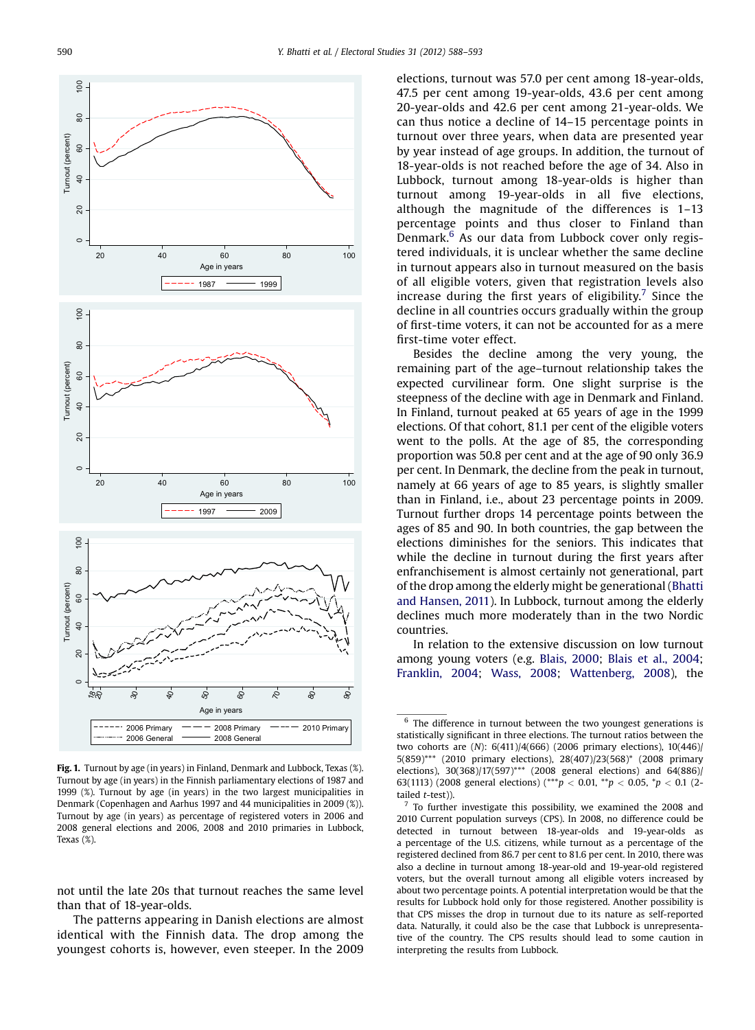<span id="page-2-0"></span>

Fig. 1. Turnout by age (in years) in Finland, Denmark and Lubbock, Texas (%). Turnout by age (in years) in the Finnish parliamentary elections of 1987 and 1999 (%). Turnout by age (in years) in the two largest municipalities in Denmark (Copenhagen and Aarhus 1997 and 44 municipalities in 2009 (%)). Turnout by age (in years) as percentage of registered voters in 2006 and 2008 general elections and 2006, 2008 and 2010 primaries in Lubbock, Texas (%).

not until the late 20s that turnout reaches the same level than that of 18-year-olds.

The patterns appearing in Danish elections are almost identical with the Finnish data. The drop among the youngest cohorts is, however, even steeper. In the 2009 elections, turnout was 57.0 per cent among 18-year-olds, 47.5 per cent among 19-year-olds, 43.6 per cent among 20-year-olds and 42.6 per cent among 21-year-olds. We can thus notice a decline of 14–15 percentage points in turnout over three years, when data are presented year by year instead of age groups. In addition, the turnout of 18-year-olds is not reached before the age of 34. Also in Lubbock, turnout among 18-year-olds is higher than turnout among 19-year-olds in all five elections, although the magnitude of the differences is 1–13 percentage points and thus closer to Finland than Denmark. $6$  As our data from Lubbock cover only registered individuals, it is unclear whether the same decline in turnout appears also in turnout measured on the basis of all eligible voters, given that registration levels also increase during the first years of eligibility.<sup>7</sup> Since the decline in all countries occurs gradually within the group of first-time voters, it can not be accounted for as a mere first-time voter effect.

Besides the decline among the very young, the remaining part of the age–turnout relationship takes the expected curvilinear form. One slight surprise is the steepness of the decline with age in Denmark and Finland. In Finland, turnout peaked at 65 years of age in the 1999 elections. Of that cohort, 81.1 per cent of the eligible voters went to the polls. At the age of 85, the corresponding proportion was 50.8 per cent and at the age of 90 only 36.9 per cent. In Denmark, the decline from the peak in turnout, namely at 66 years of age to 85 years, is slightly smaller than in Finland, i.e., about 23 percentage points in 2009. Turnout further drops 14 percentage points between the ages of 85 and 90. In both countries, the gap between the elections diminishes for the seniors. This indicates that while the decline in turnout during the first years after enfranchisement is almost certainly not generational, part of the drop among the elderly might be generational ([Bhatti](#page-4-0) [and Hansen, 2011](#page-4-0)). In Lubbock, turnout among the elderly declines much more moderately than in the two Nordic countries.

In relation to the extensive discussion on low turnout among young voters (e.g. [Blais, 2000](#page-4-0); [Blais et al., 2004;](#page-4-0) [Franklin, 2004;](#page-5-0) [Wass, 2008;](#page-5-0) [Wattenberg, 2008\)](#page-5-0), the

The difference in turnout between the two youngest generations is statistically significant in three elections. The turnout ratios between the two cohorts are (N): 6(411)/4(666) (2006 primary elections), 10(446)/ 5(859)\*\*\* (2010 primary elections), 28(407)/23(568)\* (2008 primary elections), 30(368)/17(597)\*\*\* (2008 general elections) and 64(886)/ 63(1113) (2008 general elections) (\*\*\* $p < 0.01$ , \*\* $p < 0.05$ , \* $p < 0.1$  (2tailed t-test)).

<sup>7</sup> To further investigate this possibility, we examined the 2008 and 2010 Current population surveys (CPS). In 2008, no difference could be detected in turnout between 18-year-olds and 19-year-olds as a percentage of the U.S. citizens, while turnout as a percentage of the registered declined from 86.7 per cent to 81.6 per cent. In 2010, there was also a decline in turnout among 18-year-old and 19-year-old registered voters, but the overall turnout among all eligible voters increased by about two percentage points. A potential interpretation would be that the results for Lubbock hold only for those registered. Another possibility is that CPS misses the drop in turnout due to its nature as self-reported data. Naturally, it could also be the case that Lubbock is unrepresentative of the country. The CPS results should lead to some caution in interpreting the results from Lubbock.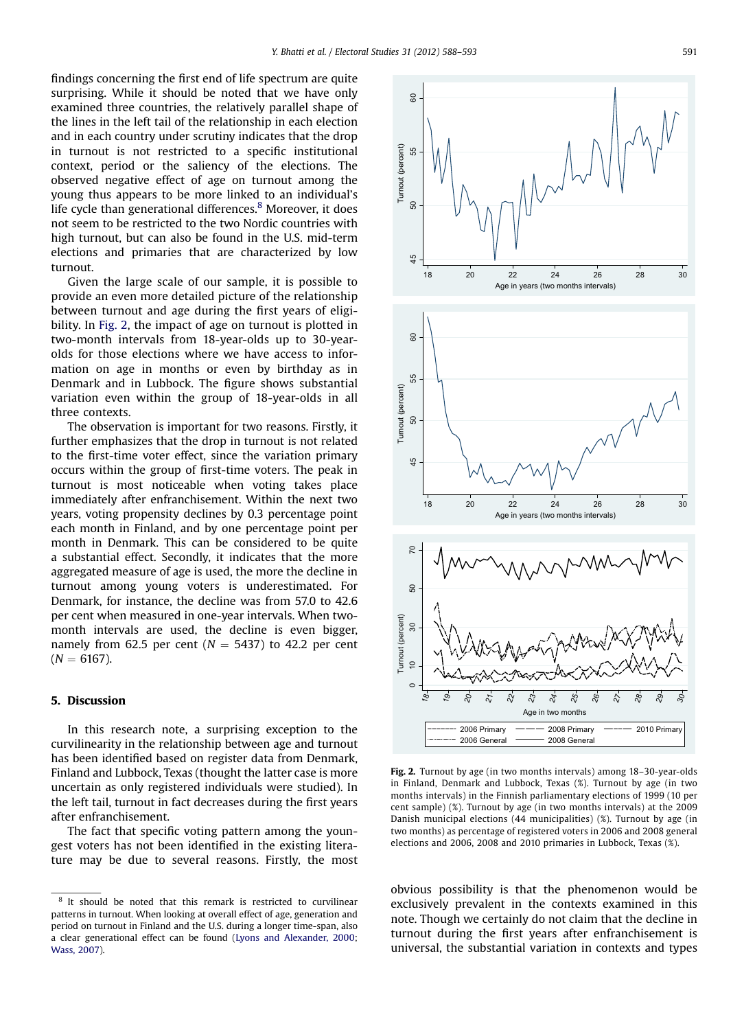findings concerning the first end of life spectrum are quite surprising. While it should be noted that we have only examined three countries, the relatively parallel shape of the lines in the left tail of the relationship in each election and in each country under scrutiny indicates that the drop in turnout is not restricted to a specific institutional context, period or the saliency of the elections. The observed negative effect of age on turnout among the young thus appears to be more linked to an individual's life cycle than generational differences.<sup>8</sup> Moreover, it does not seem to be restricted to the two Nordic countries with high turnout, but can also be found in the U.S. mid-term elections and primaries that are characterized by low turnout.

Given the large scale of our sample, it is possible to provide an even more detailed picture of the relationship between turnout and age during the first years of eligibility. In Fig. 2, the impact of age on turnout is plotted in two-month intervals from 18-year-olds up to 30-yearolds for those elections where we have access to information on age in months or even by birthday as in Denmark and in Lubbock. The figure shows substantial variation even within the group of 18-year-olds in all three contexts.

The observation is important for two reasons. Firstly, it further emphasizes that the drop in turnout is not related to the first-time voter effect, since the variation primary occurs within the group of first-time voters. The peak in turnout is most noticeable when voting takes place immediately after enfranchisement. Within the next two years, voting propensity declines by 0.3 percentage point each month in Finland, and by one percentage point per month in Denmark. This can be considered to be quite a substantial effect. Secondly, it indicates that the more aggregated measure of age is used, the more the decline in turnout among young voters is underestimated. For Denmark, for instance, the decline was from 57.0 to 42.6 per cent when measured in one-year intervals. When twomonth intervals are used, the decline is even bigger, namely from 62.5 per cent ( $N = 5437$ ) to 42.2 per cent  $(N = 6167)$ .

## 5. Discussion

In this research note, a surprising exception to the curvilinearity in the relationship between age and turnout has been identified based on register data from Denmark, Finland and Lubbock, Texas (thought the latter case is more uncertain as only registered individuals were studied). In the left tail, turnout in fact decreases during the first years after enfranchisement.

The fact that specific voting pattern among the youngest voters has not been identified in the existing literature may be due to several reasons. Firstly, the most

<sup>8</sup> It should be noted that this remark is restricted to curvilinear patterns in turnout. When looking at overall effect of age, generation and period on turnout in Finland and the U.S. during a longer time-span, also a clear generational effect can be found ([Lyons and Alexander, 2000;](#page-5-0) [Wass, 2007\)](#page-5-0).



Fig. 2. Turnout by age (in two months intervals) among 18–30-year-olds in Finland, Denmark and Lubbock, Texas (%). Turnout by age (in two months intervals) in the Finnish parliamentary elections of 1999 (10 per cent sample) (%). Turnout by age (in two months intervals) at the 2009 Danish municipal elections (44 municipalities) (%). Turnout by age (in two months) as percentage of registered voters in 2006 and 2008 general elections and 2006, 2008 and 2010 primaries in Lubbock, Texas (%).

obvious possibility is that the phenomenon would be exclusively prevalent in the contexts examined in this note. Though we certainly do not claim that the decline in turnout during the first years after enfranchisement is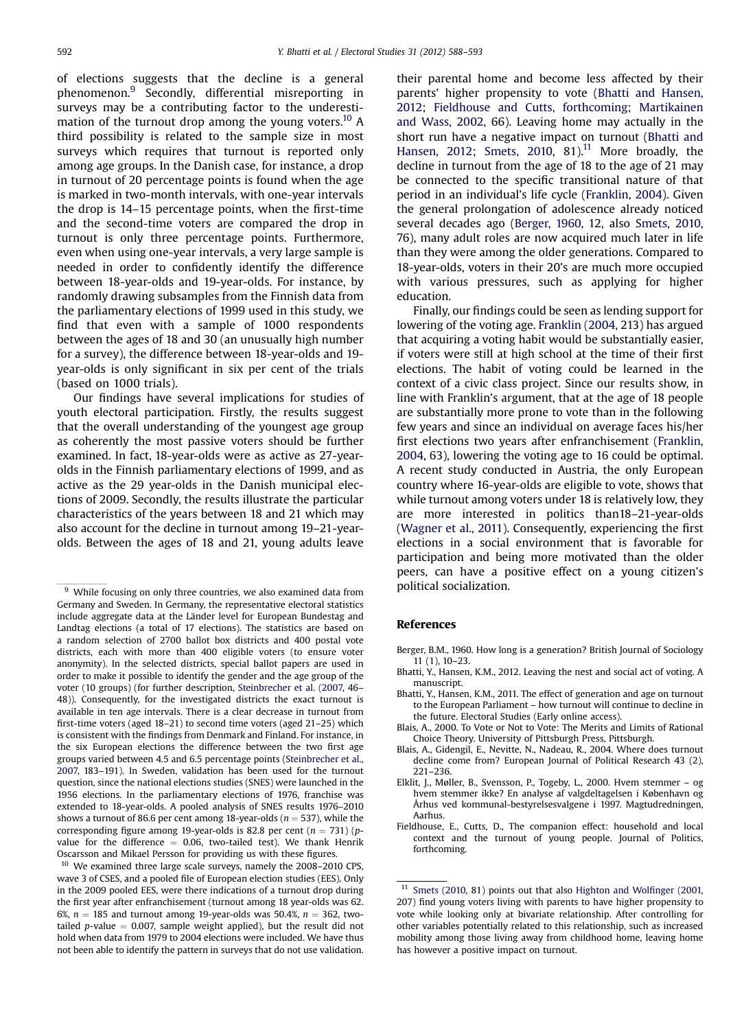<span id="page-4-0"></span>of elections suggests that the decline is a general phenomenon.<sup>9</sup> Secondly, differential misreporting in surveys may be a contributing factor to the underestimation of the turnout drop among the young voters.<sup>10</sup> A third possibility is related to the sample size in most surveys which requires that turnout is reported only among age groups. In the Danish case, for instance, a drop in turnout of 20 percentage points is found when the age is marked in two-month intervals, with one-year intervals the drop is 14–15 percentage points, when the first-time and the second-time voters are compared the drop in turnout is only three percentage points. Furthermore, even when using one-year intervals, a very large sample is needed in order to confidently identify the difference between 18-year-olds and 19-year-olds. For instance, by randomly drawing subsamples from the Finnish data from the parliamentary elections of 1999 used in this study, we find that even with a sample of 1000 respondents between the ages of 18 and 30 (an unusually high number for a survey), the difference between 18-year-olds and 19 year-olds is only significant in six per cent of the trials (based on 1000 trials).

Our findings have several implications for studies of youth electoral participation. Firstly, the results suggest that the overall understanding of the youngest age group as coherently the most passive voters should be further examined. In fact, 18-year-olds were as active as 27-yearolds in the Finnish parliamentary elections of 1999, and as active as the 29 year-olds in the Danish municipal elections of 2009. Secondly, the results illustrate the particular characteristics of the years between 18 and 21 which may also account for the decline in turnout among 19–21-yearolds. Between the ages of 18 and 21, young adults leave

their parental home and become less affected by their parents' higher propensity to vote (Bhatti and Hansen, 2012; Fieldhouse and Cutts, forthcoming; [Martikainen](#page-5-0) [and Wass, 2002,](#page-5-0) 66). Leaving home may actually in the short run have a negative impact on turnout (Bhatti and Hansen, 2012; [Smets, 2010,](#page-5-0) 81).<sup>11</sup> More broadly, the decline in turnout from the age of 18 to the age of 21 may be connected to the specific transitional nature of that period in an individual's life cycle ([Franklin, 2004\)](#page-5-0). Given the general prolongation of adolescence already noticed several decades ago (Berger, 1960, 12, also [Smets, 2010](#page-5-0), 76), many adult roles are now acquired much later in life than they were among the older generations. Compared to 18-year-olds, voters in their 20's are much more occupied with various pressures, such as applying for higher education.

Finally, our findings could be seen as lending support for lowering of the voting age. [Franklin \(2004,](#page-5-0) 213) has argued that acquiring a voting habit would be substantially easier, if voters were still at high school at the time of their first elections. The habit of voting could be learned in the context of a civic class project. Since our results show, in line with Franklin's argument, that at the age of 18 people are substantially more prone to vote than in the following few years and since an individual on average faces his/her first elections two years after enfranchisement ([Franklin,](#page-5-0) [2004,](#page-5-0) 63), lowering the voting age to 16 could be optimal. A recent study conducted in Austria, the only European country where 16-year-olds are eligible to vote, shows that while turnout among voters under 18 is relatively low, they are more interested in politics than18–21-year-olds [\(Wagner et al., 2011\)](#page-5-0). Consequently, experiencing the first elections in a social environment that is favorable for participation and being more motivated than the older peers, can have a positive effect on a young citizen's political socialization.

#### References

- Berger, B.M., 1960. How long is a generation? British Journal of Sociology 11 (1), 10–23.
- Bhatti, Y., Hansen, K.M., 2012. Leaving the nest and social act of voting. A manuscript.
- Bhatti, Y., Hansen, K.M., 2011. The effect of generation and age on turnout to the European Parliament – how turnout will continue to decline in the future. Electoral Studies (Early online access).
- Blais, A., 2000. To Vote or Not to Vote: The Merits and Limits of Rational Choice Theory. University of Pittsburgh Press, Pittsburgh.
- Blais, A., Gidengil, E., Nevitte, N., Nadeau, R., 2004. Where does turnout decline come from? European Journal of Political Research 43 (2), 221–236.
- Elklit, J., Møller, B., Svensson, P., Togeby, L., 2000. Hvem stemmer og hvem stemmer ikke? En analyse af valgdeltagelsen i København og Århus ved kommunal-bestyrelsesvalgene i 1997. Magtudredningen, Aarhus.
- Fieldhouse, E., Cutts, D., The companion effect: household and local context and the turnout of young people. Journal of Politics, forthcoming.

<sup>11</sup> [Smets \(2010,](#page-5-0) 81) points out that also [Highton and Wol](#page-5-0)finger (2001, 207) find young voters living with parents to have higher propensity to vote while looking only at bivariate relationship. After controlling for other variables potentially related to this relationship, such as increased mobility among those living away from childhood home, leaving home has however a positive impact on turnout.

<sup>&</sup>lt;sup>9</sup> While focusing on only three countries, we also examined data from Germany and Sweden. In Germany, the representative electoral statistics include aggregate data at the Länder level for European Bundestag and Landtag elections (a total of 17 elections). The statistics are based on a random selection of 2700 ballot box districts and 400 postal vote districts, each with more than 400 eligible voters (to ensure voter anonymity). In the selected districts, special ballot papers are used in order to make it possible to identify the gender and the age group of the voter (10 groups) (for further description, [Steinbrecher et al. \(2007,](#page-5-0) 46– 48)). Consequently, for the investigated districts the exact turnout is available in ten age intervals. There is a clear decrease in turnout from first-time voters (aged 18–21) to second time voters (aged 21–25) which is consistent with the findings from Denmark and Finland. For instance, in the six European elections the difference between the two first age groups varied between 4.5 and 6.5 percentage points [\(Steinbrecher et al.,](#page-5-0) [2007,](#page-5-0) 183–191). In Sweden, validation has been used for the turnout question, since the national elections studies (SNES) were launched in the 1956 elections. In the parliamentary elections of 1976, franchise was extended to 18-year-olds. A pooled analysis of SNES results 1976–2010 shows a turnout of 86.6 per cent among 18-year-olds ( $n = 537$ ), while the corresponding figure among 19-year-olds is 82.8 per cent ( $n = 731$ ) (pvalue for the difference  $= 0.06$ , two-tailed test). We thank Henrik Oscarsson and Mikael Persson for providing us with these figures.

<sup>10</sup> We examined three large scale surveys, namely the 2008–2010 CPS, wave 3 of CSES, and a pooled file of European election studies (EES). Only in the 2009 pooled EES, were there indications of a turnout drop during the first year after enfranchisement (turnout among 18 year-olds was 62. 6%,  $n = 185$  and turnout among 19-year-olds was 50.4%,  $n = 362$ , twotailed  $p$ -value = 0.007, sample weight applied), but the result did not hold when data from 1979 to 2004 elections were included. We have thus not been able to identify the pattern in surveys that do not use validation.